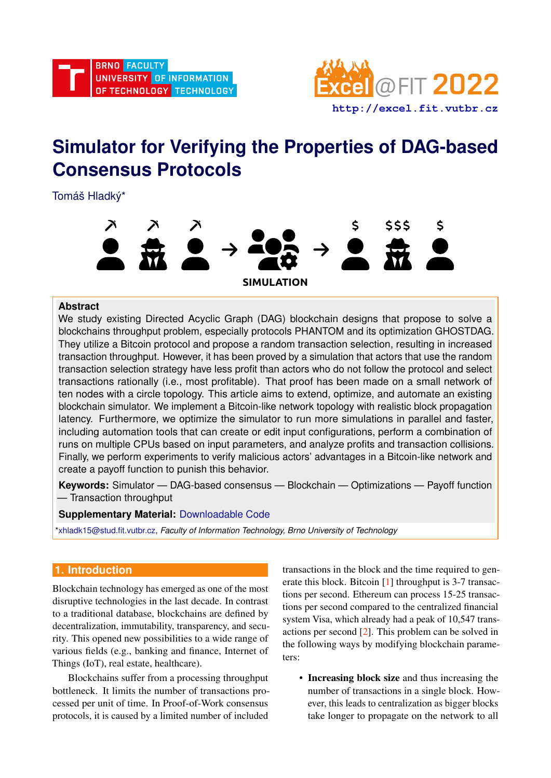

# **Simulator for Verifying the Properties of DAG-based Consensus Protocols**

Tomáš Hladký\*



# **Abstract**

We study existing Directed Acyclic Graph (DAG) blockchain designs that propose to solve a blockchains throughput problem, especially protocols PHANTOM and its optimization GHOSTDAG. They utilize a Bitcoin protocol and propose a random transaction selection, resulting in increased transaction throughput. However, it has been proved by a simulation that actors that use the random transaction selection strategy have less profit than actors who do not follow the protocol and select transactions rationally (i.e., most profitable). That proof has been made on a small network of ten nodes with a circle topology. This article aims to extend, optimize, and automate an existing blockchain simulator. We implement a Bitcoin-like network topology with realistic block propagation latency. Furthermore, we optimize the simulator to run more simulations in parallel and faster, including automation tools that can create or edit input configurations, perform a combination of runs on multiple CPUs based on input parameters, and analyze profits and transaction collisions. Finally, we perform experiments to verify malicious actors' advantages in a Bitcoin-like network and create a payoff function to punish this behavior.

**Keywords:** Simulator — DAG-based consensus — Blockchain — Optimizations — Payoff function — Transaction throughput

# **Supplementary Material:** [Downloadable Code](https://github.com/Tem12/DAG-simulator)

[\\*xhladk15@stud.fit.vutbr.cz,](mailto:xhladk15@stud.fit.vutbr.cz) *Faculty of Information Technology, Brno University of Technology*

# **1. Introduction**

Blockchain technology has emerged as one of the most disruptive technologies in the last decade. In contrast to a traditional database, blockchains are defined by decentralization, immutability, transparency, and security. This opened new possibilities to a wide range of various fields (e.g., banking and finance, Internet of Things (IoT), real estate, healthcare).

Blockchains suffer from a processing throughput bottleneck. It limits the number of transactions processed per unit of time. In Proof-of-Work consensus protocols, it is caused by a limited number of included

transactions in the block and the time required to generate this block. Bitcoin [\[1\]](#page-7-0) throughput is 3-7 transactions per second. Ethereum can process 15-25 transactions per second compared to the centralized financial system Visa, which already had a peak of 10,547 transactions per second [\[2\]](#page-7-1). This problem can be solved in the following ways by modifying blockchain parameters:

• Increasing block size and thus increasing the number of transactions in a single block. However, this leads to centralization as bigger blocks take longer to propagate on the network to all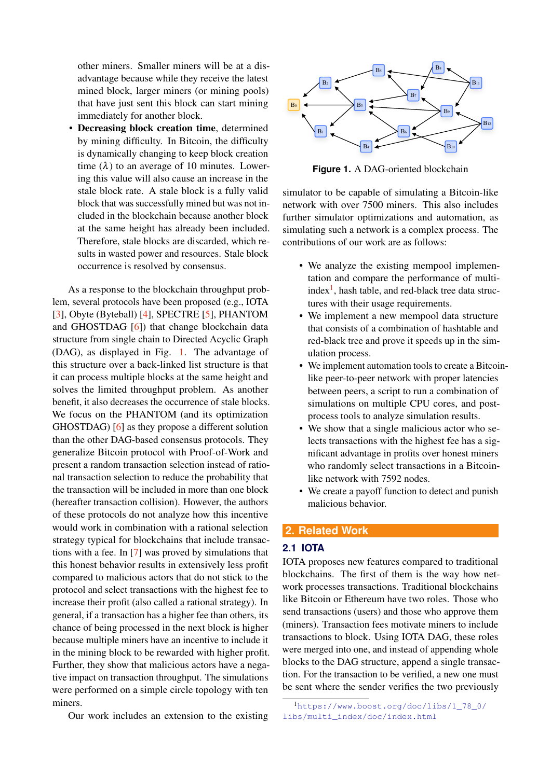other miners. Smaller miners will be at a disadvantage because while they receive the latest mined block, larger miners (or mining pools) that have just sent this block can start mining immediately for another block.

• Decreasing block creation time, determined by mining difficulty. In Bitcoin, the difficulty is dynamically changing to keep block creation time  $(\lambda)$  to an average of 10 minutes. Lowering this value will also cause an increase in the stale block rate. A stale block is a fully valid block that was successfully mined but was not included in the blockchain because another block at the same height has already been included. Therefore, stale blocks are discarded, which results in wasted power and resources. Stale block occurrence is resolved by consensus.

As a response to the blockchain throughput problem, several protocols have been proposed (e.g., IOTA [\[3\]](#page-7-2), Obyte (Byteball) [\[4\]](#page-7-3), SPECTRE [\[5\]](#page-7-4), PHANTOM and GHOSTDAG [\[6\]](#page-7-5)) that change blockchain data structure from single chain to Directed Acyclic Graph (DAG), as displayed in Fig. [1.](#page-1-0) The advantage of this structure over a back-linked list structure is that it can process multiple blocks at the same height and solves the limited throughput problem. As another benefit, it also decreases the occurrence of stale blocks. We focus on the PHANTOM (and its optimization GHOSTDAG) [\[6\]](#page-7-5) as they propose a different solution than the other DAG-based consensus protocols. They generalize Bitcoin protocol with Proof-of-Work and present a random transaction selection instead of rational transaction selection to reduce the probability that the transaction will be included in more than one block (hereafter transaction collision). However, the authors of these protocols do not analyze how this incentive would work in combination with a rational selection strategy typical for blockchains that include transactions with a fee. In [\[7\]](#page-7-6) was proved by simulations that this honest behavior results in extensively less profit compared to malicious actors that do not stick to the protocol and select transactions with the highest fee to increase their profit (also called a rational strategy). In general, if a transaction has a higher fee than others, its chance of being processed in the next block is higher because multiple miners have an incentive to include it in the mining block to be rewarded with higher profit. Further, they show that malicious actors have a negative impact on transaction throughput. The simulations were performed on a simple circle topology with ten miners.



<span id="page-1-0"></span>

**Figure 1.** A DAG-oriented blockchain

simulator to be capable of simulating a Bitcoin-like network with over 7500 miners. This also includes further simulator optimizations and automation, as simulating such a network is a complex process. The contributions of our work are as follows:

- We analyze the existing mempool implementation and compare the performance of multi- $index<sup>1</sup>$  $index<sup>1</sup>$  $index<sup>1</sup>$ , hash table, and red-black tree data structures with their usage requirements.
- We implement a new mempool data structure that consists of a combination of hashtable and red-black tree and prove it speeds up in the simulation process.
- We implement automation tools to create a Bitcoinlike peer-to-peer network with proper latencies between peers, a script to run a combination of simulations on multiple CPU cores, and postprocess tools to analyze simulation results.
- We show that a single malicious actor who selects transactions with the highest fee has a significant advantage in profits over honest miners who randomly select transactions in a Bitcoinlike network with 7592 nodes.
- We create a payoff function to detect and punish malicious behavior.

# **2. Related Work**

#### **2.1 IOTA**

IOTA proposes new features compared to traditional blockchains. The first of them is the way how network processes transactions. Traditional blockchains like Bitcoin or Ethereum have two roles. Those who send transactions (users) and those who approve them (miners). Transaction fees motivate miners to include transactions to block. Using IOTA DAG, these roles were merged into one, and instead of appending whole blocks to the DAG structure, append a single transaction. For the transaction to be verified, a new one must be sent where the sender verifies the two previously

<span id="page-1-1"></span><sup>1</sup>[https://www.boost.org/doc/libs/1\\_78\\_0/](https://www.boost.org/doc/libs/1_78_0/libs/multi_index/doc/index.html) [libs/multi\\_index/doc/index.html](https://www.boost.org/doc/libs/1_78_0/libs/multi_index/doc/index.html)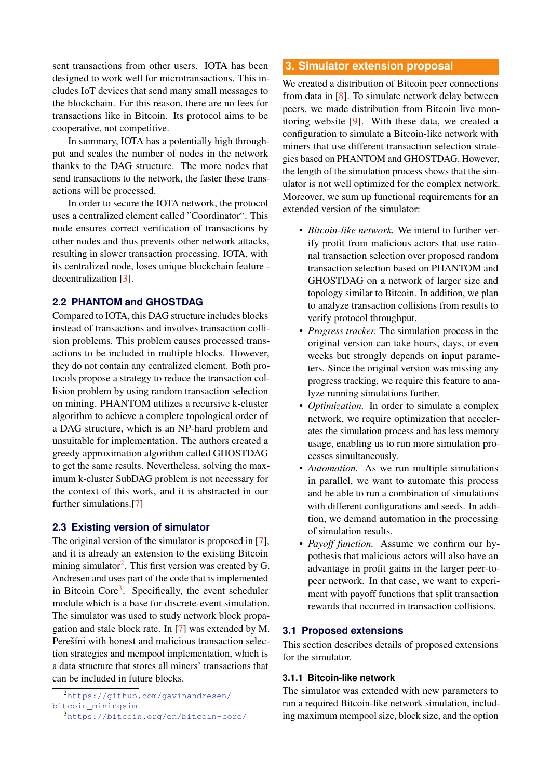sent transactions from other users. IOTA has been designed to work well for microtransactions. This includes IoT devices that send many small messages to the blockchain. For this reason, there are no fees for transactions like in Bitcoin. Its protocol aims to be cooperative, not competitive.

In summary, IOTA has a potentially high throughput and scales the number of nodes in the network thanks to the DAG structure. The more nodes that send transactions to the network, the faster these transactions will be processed.

In order to secure the IOTA network, the protocol uses a centralized element called "Coordinator". This node ensures correct verification of transactions by other nodes and thus prevents other network attacks, resulting in slower transaction processing. IOTA, with its centralized node, loses unique blockchain feature decentralization [\[3\]](#page-7-2).

# **2.2 PHANTOM and GHOSTDAG**

Compared to IOTA, this DAG structure includes blocks instead of transactions and involves transaction collision problems. This problem causes processed transactions to be included in multiple blocks. However, they do not contain any centralized element. Both protocols propose a strategy to reduce the transaction collision problem by using random transaction selection on mining. PHANTOM utilizes a recursive k-cluster algorithm to achieve a complete topological order of a DAG structure, which is an NP-hard problem and unsuitable for implementation. The authors created a greedy approximation algorithm called GHOSTDAG to get the same results. Nevertheless, solving the maximum k-cluster SubDAG problem is not necessary for the context of this work, and it is abstracted in our further simulations.[\[7\]](#page-7-6)

## **2.3 Existing version of simulator**

The original version of the simulator is proposed in [\[7\]](#page-7-6), and it is already an extension to the existing Bitcoin mining simulator<sup>[2](#page-2-0)</sup>. This first version was created by G. Andresen and uses part of the code that is implemented in Bitcoin Core<sup>[3](#page-2-1)</sup>. Specifically, the event scheduler module which is a base for discrete-event simulation. The simulator was used to study network block propagation and stale block rate. In [\[7\]](#page-7-6) was extended by M. Perešíni with honest and malicious transaction selection strategies and mempool implementation, which is a data structure that stores all miners' transactions that can be included in future blocks.

## **3. Simulator extension proposal**

We created a distribution of Bitcoin peer connections from data in [\[8\]](#page-7-7). To simulate network delay between peers, we made distribution from Bitcoin live monitoring website [\[9\]](#page-7-8). With these data, we created a configuration to simulate a Bitcoin-like network with miners that use different transaction selection strategies based on PHANTOM and GHOSTDAG. However, the length of the simulation process shows that the simulator is not well optimized for the complex network. Moreover, we sum up functional requirements for an extended version of the simulator:

- *Bitcoin-like network.* We intend to further verify profit from malicious actors that use rational transaction selection over proposed random transaction selection based on PHANTOM and GHOSTDAG on a network of larger size and topology similar to Bitcoin. In addition, we plan to analyze transaction collisions from results to verify protocol throughput.
- *Progress tracker.* The simulation process in the original version can take hours, days, or even weeks but strongly depends on input parameters. Since the original version was missing any progress tracking, we require this feature to analyze running simulations further.
- *Optimization.* In order to simulate a complex network, we require optimization that accelerates the simulation process and has less memory usage, enabling us to run more simulation processes simultaneously.
- *Automation.* As we run multiple simulations in parallel, we want to automate this process and be able to run a combination of simulations with different configurations and seeds. In addition, we demand automation in the processing of simulation results.
- *Payoff function.* Assume we confirm our hypothesis that malicious actors will also have an advantage in profit gains in the larger peer-topeer network. In that case, we want to experiment with payoff functions that split transaction rewards that occurred in transaction collisions.

## **3.1 Proposed extensions**

This section describes details of proposed extensions for the simulator.

## **3.1.1 Bitcoin-like network**

The simulator was extended with new parameters to run a required Bitcoin-like network simulation, including maximum mempool size, block size, and the option

<span id="page-2-0"></span><sup>2</sup>[https://github.com/gavinandresen/](https://github.com/gavinandresen/bitcoin_miningsim) [bitcoin\\_miningsim](https://github.com/gavinandresen/bitcoin_miningsim)

<span id="page-2-1"></span><sup>3</sup><https://bitcoin.org/en/bitcoin-core/>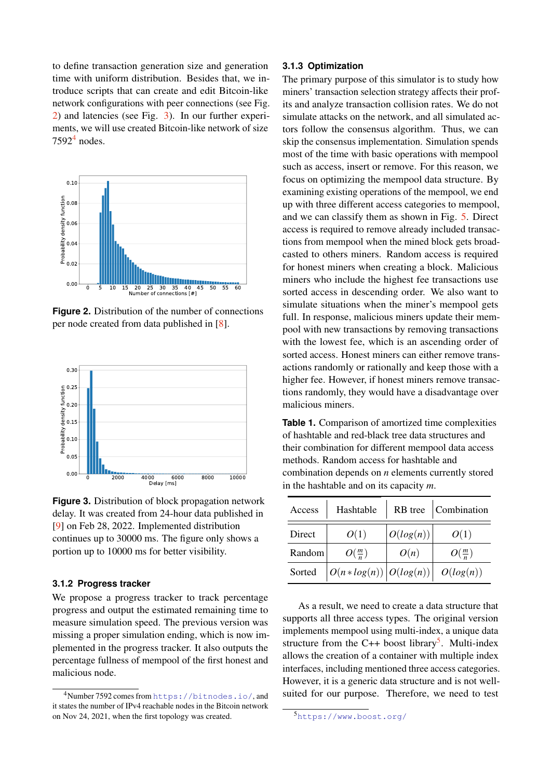to define transaction generation size and generation time with uniform distribution. Besides that, we introduce scripts that can create and edit Bitcoin-like network configurations with peer connections (see Fig. [2\)](#page-3-0) and latencies (see Fig. [3\)](#page-3-1). In our further experiments, we will use created Bitcoin-like network of size  $7592<sup>4</sup>$  $7592<sup>4</sup>$  $7592<sup>4</sup>$  nodes.

<span id="page-3-0"></span>

**Figure 2.** Distribution of the number of connections per node created from data published in [\[8\]](#page-7-7).

<span id="page-3-1"></span>

**Figure 3.** Distribution of block propagation network delay. It was created from 24-hour data published in [\[9\]](#page-7-8) on Feb 28, 2022. Implemented distribution continues up to 30000 ms. The figure only shows a portion up to 10000 ms for better visibility.

## **3.1.2 Progress tracker**

We propose a progress tracker to track percentage progress and output the estimated remaining time to measure simulation speed. The previous version was missing a proper simulation ending, which is now implemented in the progress tracker. It also outputs the percentage fullness of mempool of the first honest and malicious node.

## **3.1.3 Optimization**

The primary purpose of this simulator is to study how miners' transaction selection strategy affects their profits and analyze transaction collision rates. We do not simulate attacks on the network, and all simulated actors follow the consensus algorithm. Thus, we can skip the consensus implementation. Simulation spends most of the time with basic operations with mempool such as access, insert or remove. For this reason, we focus on optimizing the mempool data structure. By examining existing operations of the mempool, we end up with three different access categories to mempool, and we can classify them as shown in Fig. [5.](#page-4-0) Direct access is required to remove already included transactions from mempool when the mined block gets broadcasted to others miners. Random access is required for honest miners when creating a block. Malicious miners who include the highest fee transactions use sorted access in descending order. We also want to simulate situations when the miner's mempool gets full. In response, malicious miners update their mempool with new transactions by removing transactions with the lowest fee, which is an ascending order of sorted access. Honest miners can either remove transactions randomly or rationally and keep those with a higher fee. However, if honest miners remove transactions randomly, they would have a disadvantage over malicious miners.

<span id="page-3-4"></span>**Table 1.** Comparison of amortized time complexities of hashtable and red-black tree data structures and their combination for different mempool data access methods. Random access for hashtable and combination depends on *n* elements currently stored in the hashtable and on its capacity *m*.

| Access |                                                                   |           | Hashtable   RB tree   Combination |
|--------|-------------------------------------------------------------------|-----------|-----------------------------------|
| Direct | O(1)                                                              | O(log(n)) | O(1)                              |
| Random | $O(\frac{m}{n})$                                                  | O(n)      | $O(\frac{m}{n})$                  |
| Sorted | $\left  O(n * log(n)) \right  O(log(n)) \left  O(log(n)) \right $ |           |                                   |

As a result, we need to create a data structure that supports all three access types. The original version implements mempool using multi-index, a unique data structure from the C++ boost library<sup>[5](#page-3-3)</sup>. Multi-index allows the creation of a container with multiple index interfaces, including mentioned three access categories. However, it is a generic data structure and is not wellsuited for our purpose. Therefore, we need to test

<span id="page-3-2"></span><sup>4</sup>Number 7592 comes from <https://bitnodes.io/>, and it states the number of IPv4 reachable nodes in the Bitcoin network on Nov 24, 2021, when the first topology was created.

<span id="page-3-3"></span><sup>5</sup><https://www.boost.org/>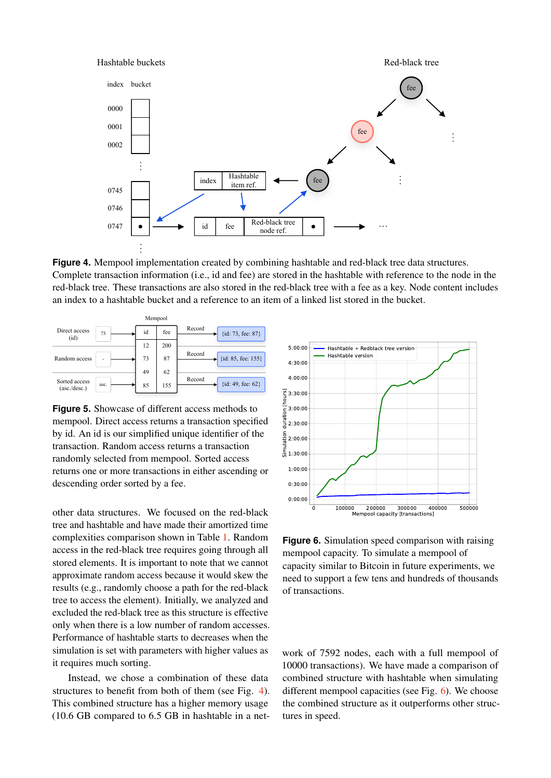<span id="page-4-1"></span>

**Figure 4.** Mempool implementation created by combining hashtable and red-black tree data structures. Complete transaction information (i.e., id and fee) are stored in the hashtable with reference to the node in the red-black tree. These transactions are also stored in the red-black tree with a fee as a key. Node content includes an index to a hashtable bucket and a reference to an item of a linked list stored in the bucket.

<span id="page-4-0"></span>

|                               |      | Mempool |     |                              |
|-------------------------------|------|---------|-----|------------------------------|
| Direct access<br>(id)         | 73   | id      | fee | Record<br>{id: 73, fee: 87}  |
|                               |      | 12      | 200 |                              |
| Random access                 |      | 73      | 87  | Record<br>{id: 85, fee: 155} |
|                               |      | 49      | 62  |                              |
| Sorted access<br>(asc./desc.) | asc. | 85      | 155 | Record<br>{id: 49, fee: 62}  |

**Figure 5.** Showcase of different access methods to mempool. Direct access returns a transaction specified by id. An id is our simplified unique identifier of the transaction. Random access returns a transaction randomly selected from mempool. Sorted access returns one or more transactions in either ascending or descending order sorted by a fee.

other data structures. We focused on the red-black tree and hashtable and have made their amortized time complexities comparison shown in Table [1.](#page-3-4) Random access in the red-black tree requires going through all stored elements. It is important to note that we cannot approximate random access because it would skew the results (e.g., randomly choose a path for the red-black tree to access the element). Initially, we analyzed and excluded the red-black tree as this structure is effective only when there is a low number of random accesses. Performance of hashtable starts to decreases when the simulation is set with parameters with higher values as it requires much sorting.

Instead, we chose a combination of these data structures to benefit from both of them (see Fig. [4\)](#page-4-1). This combined structure has a higher memory usage (10.6 GB compared to 6.5 GB in hashtable in a net-

<span id="page-4-2"></span>

**Figure 6.** Simulation speed comparison with raising mempool capacity. To simulate a mempool of capacity similar to Bitcoin in future experiments, we need to support a few tens and hundreds of thousands of transactions.

work of 7592 nodes, each with a full mempool of 10000 transactions). We have made a comparison of combined structure with hashtable when simulating different mempool capacities (see Fig. [6\)](#page-4-2). We choose the combined structure as it outperforms other structures in speed.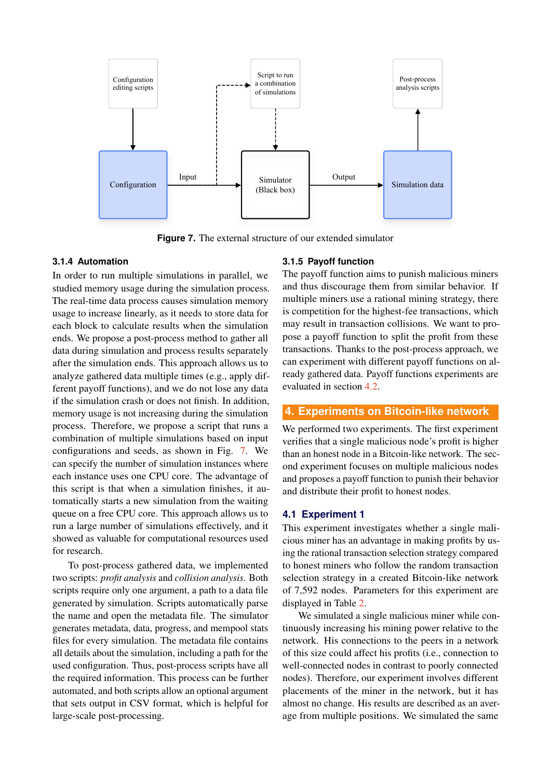<span id="page-5-0"></span>

**Figure 7.** The external structure of our extended simulator

## **3.1.4 Automation**

In order to run multiple simulations in parallel, we studied memory usage during the simulation process. The real-time data process causes simulation memory usage to increase linearly, as it needs to store data for each block to calculate results when the simulation ends. We propose a post-process method to gather all data during simulation and process results separately after the simulation ends. This approach allows us to analyze gathered data multiple times (e.g., apply different payoff functions), and we do not lose any data if the simulation crash or does not finish. In addition, memory usage is not increasing during the simulation process. Therefore, we propose a script that runs a combination of multiple simulations based on input configurations and seeds, as shown in Fig. [7.](#page-5-0) We can specify the number of simulation instances where each instance uses one CPU core. The advantage of this script is that when a simulation finishes, it automatically starts a new simulation from the waiting queue on a free CPU core. This approach allows us to run a large number of simulations effectively, and it showed as valuable for computational resources used for research.

To post-process gathered data, we implemented two scripts: *profit analysis* and *collision analysis*. Both scripts require only one argument, a path to a data file generated by simulation. Scripts automatically parse the name and open the metadata file. The simulator generates metadata, data, progress, and mempool stats files for every simulation. The metadata file contains all details about the simulation, including a path for the used configuration. Thus, post-process scripts have all the required information. This process can be further automated, and both scripts allow an optional argument that sets output in CSV format, which is helpful for large-scale post-processing.

#### **3.1.5 Payoff function**

The payoff function aims to punish malicious miners and thus discourage them from similar behavior. If multiple miners use a rational mining strategy, there is competition for the highest-fee transactions, which may result in transaction collisions. We want to propose a payoff function to split the profit from these transactions. Thanks to the post-process approach, we can experiment with different payoff functions on already gathered data. Payoff functions experiments are evaluated in section [4.2.](#page-6-0)

# **4. Experiments on Bitcoin-like network**

We performed two experiments. The first experiment verifies that a single malicious node's profit is higher than an honest node in a Bitcoin-like network. The second experiment focuses on multiple malicious nodes and proposes a payoff function to punish their behavior and distribute their profit to honest nodes.

## **4.1 Experiment 1**

This experiment investigates whether a single malicious miner has an advantage in making profits by using the rational transaction selection strategy compared to honest miners who follow the random transaction selection strategy in a created Bitcoin-like network of 7,592 nodes. Parameters for this experiment are displayed in Table [2.](#page-6-1)

We simulated a single malicious miner while continuously increasing his mining power relative to the network. His connections to the peers in a network of this size could affect his profits (i.e., connection to well-connected nodes in contrast to poorly connected nodes). Therefore, our experiment involves different placements of the miner in the network, but it has almost no change. His results are described as an average from multiple positions. We simulated the same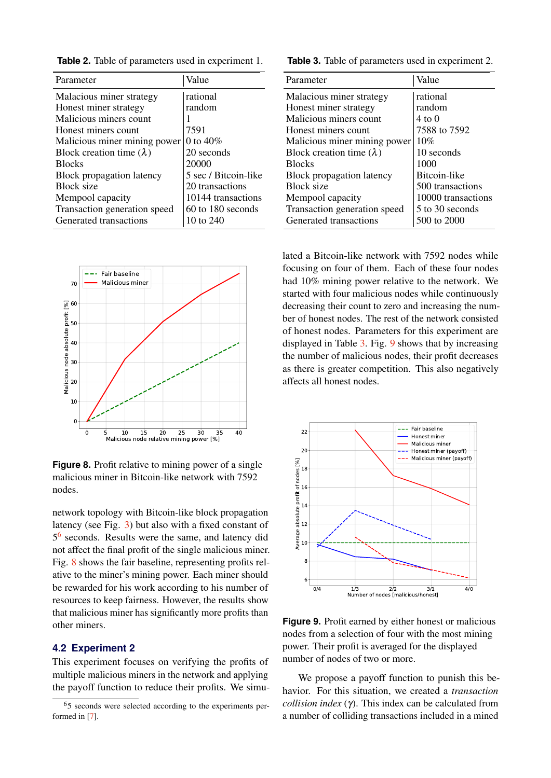<span id="page-6-1"></span>**Table 2.** Table of parameters used in experiment 1.

| Parameter                       | Value                |  |
|---------------------------------|----------------------|--|
| Malacious miner strategy        | rational             |  |
| Honest miner strategy           | random               |  |
| Malicious miners count          |                      |  |
| Honest miners count             | 7591                 |  |
| Malicious miner mining power    | 0 to $40\%$          |  |
| Block creation time $(\lambda)$ | 20 seconds           |  |
| <b>Blocks</b>                   | 20000                |  |
| Block propagation latency       | 5 sec / Bitcoin-like |  |
| <b>Block size</b>               | 20 transactions      |  |
| Mempool capacity                | 10144 transactions   |  |
| Transaction generation speed    | $60$ to 180 seconds  |  |
| Generated transactions          | 10 to 240            |  |

<span id="page-6-3"></span>

**Figure 8.** Profit relative to mining power of a single malicious miner in Bitcoin-like network with 7592 nodes.

network topology with Bitcoin-like block propagation latency (see Fig. [3\)](#page-3-1) but also with a fixed constant of 5<sup>[6](#page-6-2)</sup> seconds. Results were the same, and latency did not affect the final profit of the single malicious miner. Fig. [8](#page-6-3) shows the fair baseline, representing profits relative to the miner's mining power. Each miner should be rewarded for his work according to his number of resources to keep fairness. However, the results show that malicious miner has significantly more profits than other miners.

# <span id="page-6-0"></span>**4.2 Experiment 2**

This experiment focuses on verifying the profits of multiple malicious miners in the network and applying the payoff function to reduce their profits. We simu<span id="page-6-4"></span>**Table 3.** Table of parameters used in experiment 2.

| Parameter                       | Value              |
|---------------------------------|--------------------|
| Malacious miner strategy        | rational           |
| Honest miner strategy           | random             |
| Malicious miners count          | $4 \text{ to } 0$  |
| Honest miners count             | 7588 to 7592       |
| Malicious miner mining power    | 10%                |
| Block creation time $(\lambda)$ | 10 seconds         |
| <b>Blocks</b>                   | 1000               |
| Block propagation latency       | Bitcoin-like       |
| <b>Block size</b>               | 500 transactions   |
| Mempool capacity                | 10000 transactions |
| Transaction generation speed    | 5 to 30 seconds    |
| Generated transactions          | 500 to 2000        |

lated a Bitcoin-like network with 7592 nodes while focusing on four of them. Each of these four nodes had 10% mining power relative to the network. We started with four malicious nodes while continuously decreasing their count to zero and increasing the number of honest nodes. The rest of the network consisted of honest nodes. Parameters for this experiment are displayed in Table [3.](#page-6-4) Fig. [9](#page-6-5) shows that by increasing the number of malicious nodes, their profit decreases as there is greater competition. This also negatively affects all honest nodes.

<span id="page-6-5"></span>

**Figure 9.** Profit earned by either honest or malicious nodes from a selection of four with the most mining power. Their profit is averaged for the displayed number of nodes of two or more.

We propose a payoff function to punish this behavior. For this situation, we created a *transaction collision index* (γ). This index can be calculated from a number of colliding transactions included in a mined

<span id="page-6-2"></span><sup>6</sup>5 seconds were selected according to the experiments performed in [\[7\]](#page-7-6).